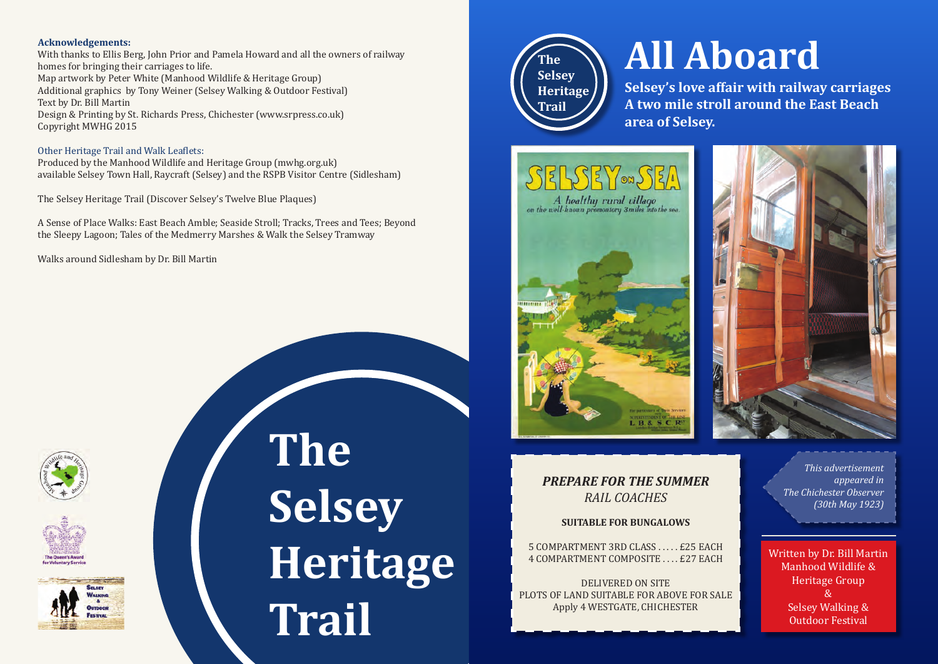## **Acknowledgements:**

With thanks to Ellis Berg, John Prior and Pamela Howard and all the owners of railway homes for bringing their carriages to life. Map artwork by Peter White (Manhood Wildlife & Heritage Group) Additional graphics by Tony Weiner (Selsey Walking & Outdoor Festival) Text by Dr. Bill Martin Design & Printing by St. Richards Press, Chichester (www.srpress.co.uk) Copyright MWHG 2015

## Other Heritage Trail and Walk Leaflets:

Produced by the Manhood Wildlife and Heritage Group (mwhg.org.uk) available Selsey Town Hall, Raycraft (Selsey) and the RSPB Visitor Centre (Sidlesham)

The Selsey Heritage Trail (Discover Selsey's Twelve Blue Plaques)

A Sense of Place Walks: East Beach Amble; Seaside Stroll; Tracks, Trees and Tees; Beyond the Sleepy Lagoon; Tales of the Medmerry Marshes & Walk the Selsey Tramway

Walks around Sidlesham by Dr. Bill Martin







**The Selsey Heritage Trail**



# **All Aboard**

**Selsey's love affair with railway carriages A two mile stroll around the East Beach area of Selsey.**







## *PREPARE FOR THE SUMMER RAIL COACHES*

## **SUITABLE FOR BUNGALOWS**

5 COMPARTMENT 3RD CLASS . . . . . £25 EACH 4 COMPARTMENT COMPOSITE . . . . £27 EACH

DELIVERED ON SITE PLOTS OF LAND SUITABLE FOR ABOVE FOR SALE Apply 4 WESTGATE, CHICHESTER

*This advertisement appeared in The Chichester Observer (30th May 1923)* 

Written by Dr. Bill Martin Manhood Wildlife & Heritage Group & Selsey Walking & Outdoor Festival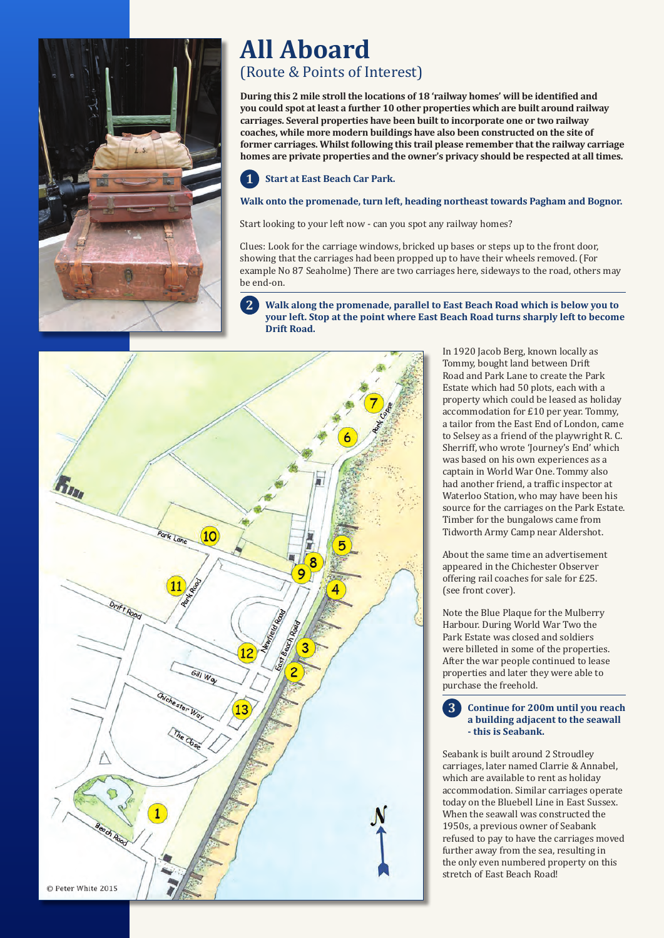

# **All Aboard**

## (Route & Points of Interest)

**During this 2 mile stroll the locations of 18 'railway homes' will be identified and you could spot at least a further 10 other properties which are built around railway carriages. Several properties have been built to incorporate one or two railway coaches, while more modern buildings have also been constructed on the site of former carriages. Whilst following this trail please remember that the railway carriage homes are private properties and the owner's privacy should be respected at all times.**

#### **Start at East Beach Car Park. 1**

## **Walk onto the promenade, turn left, heading northeast towards Pagham and Bognor.**

Start looking to your left now - can you spot any railway homes?

Clues: Look for the carriage windows, bricked up bases or steps up to the front door, showing that the carriages had been propped up to have their wheels removed. (For example No 87 Seaholme) There are two carriages here, sideways to the road, others may be end-on.

#### **Walk along the promenade, parallel to East Beach Road which is below you to your left. Stop at the point where East Beach Road turns sharply left to become Drift Road. 2**

 $(10)$ 加耳 8 9 Drift Road  $12$ Gill Way 13  $\mathbf{1}$ a ch Roc © Peter White 2015

In 1920 Jacob Berg, known locally as Tommy, bought land between Drift Road and Park Lane to create the Park Estate which had 50 plots, each with a property which could be leased as holiday accommodation for £10 per year. Tommy, a tailor from the East End of London, came to Selsey as a friend of the playwright R. C. Sherriff, who wrote 'Journey's End' which was based on his own experiences as a captain in World War One. Tommy also had another friend, a traffic inspector at Waterloo Station, who may have been his source for the carriages on the Park Estate. Timber for the bungalows came from Tidworth Army Camp near Aldershot.

About the same time an advertisement appeared in the Chichester Observer offering rail coaches for sale for £25. (see front cover).

Note the Blue Plaque for the Mulberry Harbour. During World War Two the Park Estate was closed and soldiers were billeted in some of the properties. After the war people continued to lease properties and later they were able to purchase the freehold.

**Continue for 200m until you reach a building adjacent to the seawall - this is Seabank. 3**

Seabank is built around 2 Stroudley carriages, later named Clarrie & Annabel, which are available to rent as holiday accommodation. Similar carriages operate today on the Bluebell Line in East Sussex. When the seawall was constructed the 1950s, a previous owner of Seabank refused to pay to have the carriages moved further away from the sea, resulting in the only even numbered property on this stretch of East Beach Road!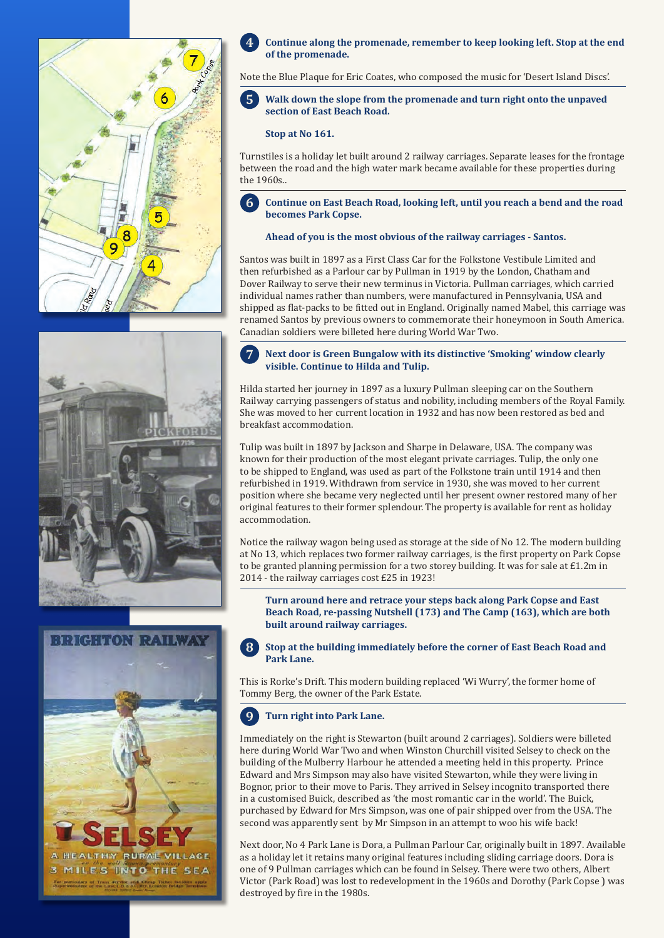





#### **Continue along the promenade, remember to keep looking left. Stop at the end of the promenade. 4**

Note the Blue Plaque for Eric Coates, who composed the music for 'Desert Island Discs'.

#### **Walk down the slope from the promenade and turn right onto the unpaved section of East Beach Road. 5**

## **Stop at No 161.**

Turnstiles is a holiday let built around 2 railway carriages. Separate leases for the frontage between the road and the high water mark became available for these properties during the 1960s..

**Continue on East Beach Road, looking left, until you reach a bend and the road becomes Park Copse. 6**

### **Ahead of you is the most obvious of the railway carriages - Santos.**

Santos was built in 1897 as a First Class Car for the Folkstone Vestibule Limited and then refurbished as a Parlour car by Pullman in 1919 by the London, Chatham and Dover Railway to serve their new terminus in Victoria. Pullman carriages, which carried individual names rather than numbers, were manufactured in Pennsylvania, USA and shipped as flat-packs to be fitted out in England. Originally named Mabel, this carriage was renamed Santos by previous owners to commemorate their honeymoon in South America. Canadian soldiers were billeted here during World War Two.

#### **Next door is Green Bungalow with its distinctive 'Smoking' window clearly visible. Continue to Hilda and Tulip. 7**

Hilda started her journey in 1897 as a luxury Pullman sleeping car on the Southern Railway carrying passengers of status and nobility, including members of the Royal Family. She was moved to her current location in 1932 and has now been restored as bed and breakfast accommodation.

Tulip was built in 1897 by Jackson and Sharpe in Delaware, USA. The company was known for their production of the most elegant private carriages. Tulip, the only one to be shipped to England, was used as part of the Folkstone train until 1914 and then refurbished in 1919. Withdrawn from service in 1930, she was moved to her current position where she became very neglected until her present owner restored many of her original features to their former splendour. The property is available for rent as holiday accommodation.

Notice the railway wagon being used as storage at the side of No 12. The modern building at No 13, which replaces two former railway carriages, is the first property on Park Copse to be granted planning permission for a two storey building. It was for sale at £1.2m in 2014 - the railway carriages cost £25 in 1923!

**Turn around here and retrace your steps back along Park Copse and East Beach Road, re-passing Nutshell (173) and The Camp (163), which are both built around railway carriages.** 

**Stop at the building immediately before the corner of East Beach Road and Park Lane. 8**

This is Rorke's Drift. This modern building replaced 'Wi Wurry', the former home of Tommy Berg, the owner of the Park Estate.

#### **Turn right into Park Lane. 9**

Immediately on the right is Stewarton (built around 2 carriages). Soldiers were billeted here during World War Two and when Winston Churchill visited Selsey to check on the building of the Mulberry Harbour he attended a meeting held in this property. Prince Edward and Mrs Simpson may also have visited Stewarton, while they were living in Bognor, prior to their move to Paris. They arrived in Selsey incognito transported there in a customised Buick, described as 'the most romantic car in the world'. The Buick, purchased by Edward for Mrs Simpson, was one of pair shipped over from the USA. The second was apparently sent by Mr Simpson in an attempt to woo his wife back!

Next door, No 4 Park Lane is Dora, a Pullman Parlour Car, originally built in 1897. Available as a holiday let it retains many original features including sliding carriage doors. Dora is one of 9 Pullman carriages which can be found in Selsey. There were two others, Albert Victor (Park Road) was lost to redevelopment in the 1960s and Dorothy (Park Copse ) was destroyed by fire in the 1980s.